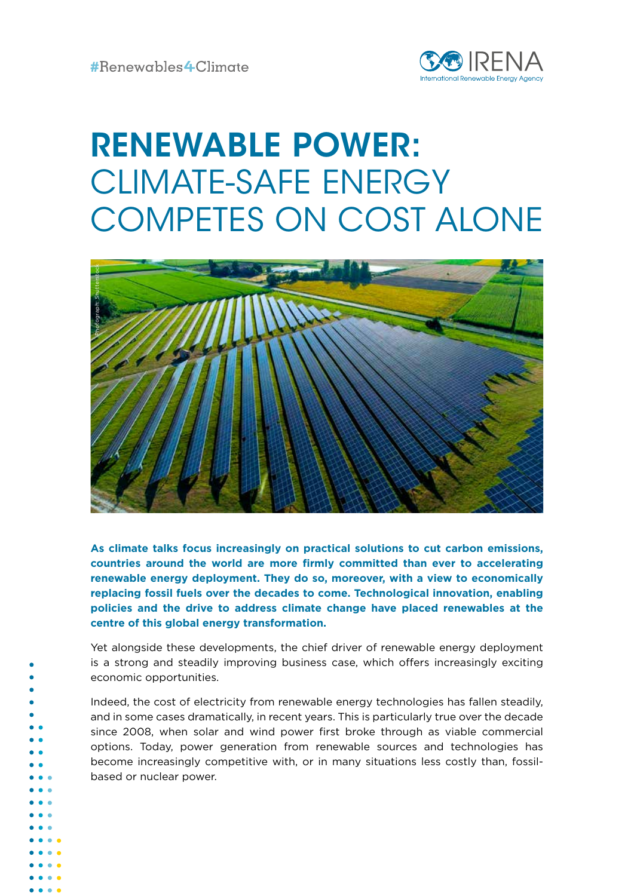

# RENEWABLE POWER: CLIMATE-SAFE ENERGY COMPETES ON COST ALONE



**As climate talks focus increasingly on practical solutions to cut carbon emissions, countries around the world are more firmly committed than ever to accelerating renewable energy deployment. They do so, moreover, with a view to economically replacing fossil fuels over the decades to come. Technological innovation, enabling policies and the drive to address climate change have placed renewables at the centre of this global energy transformation.** 

Yet alongside these developments, the chief driver of renewable energy deployment is a strong and steadily improving business case, which offers increasingly exciting economic opportunities.

Indeed, the cost of electricity from renewable energy technologies has fallen steadily, and in some cases dramatically, in recent years. This is particularly true over the decade since 2008, when solar and wind power first broke through as viable commercial options. Today, power generation from renewable sources and technologies has become increasingly competitive with, or in many situations less costly than, fossilbased or nuclear power.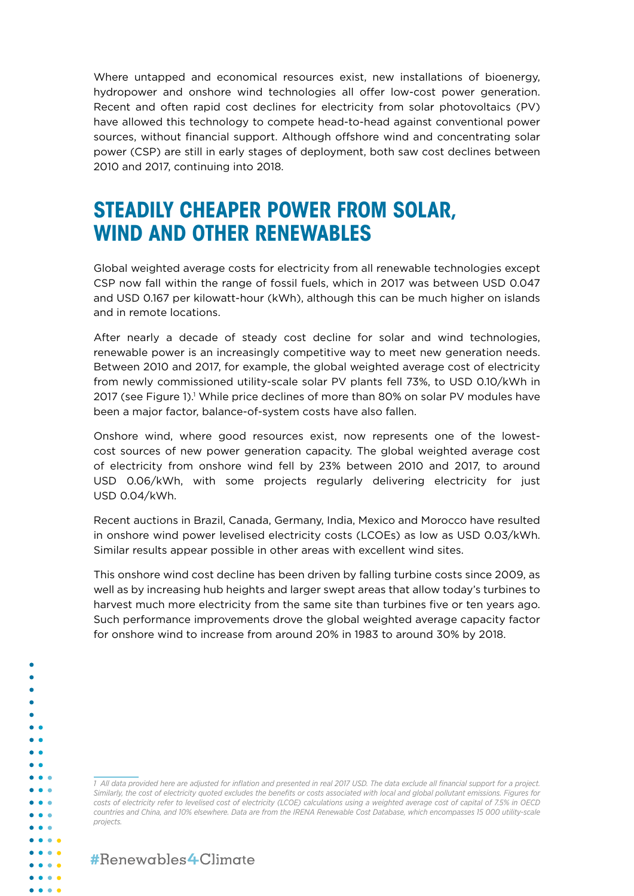Where untapped and economical resources exist, new installations of bioenergy, hydropower and onshore wind technologies all offer low-cost power generation. Recent and often rapid cost declines for electricity from solar photovoltaics (PV) have allowed this technology to compete head-to-head against conventional power sources, without financial support. Although offshore wind and concentrating solar power (CSP) are still in early stages of deployment, both saw cost declines between 2010 and 2017, continuing into 2018.

## **STEADILY CHEAPER POWER FROM SOLAR, WIND AND OTHER RENEWABLES**

Global weighted average costs for electricity from all renewable technologies except CSP now fall within the range of fossil fuels, which in 2017 was between USD 0.047 and USD 0.167 per kilowatt-hour (kWh), although this can be much higher on islands and in remote locations.

After nearly a decade of steady cost decline for solar and wind technologies, renewable power is an increasingly competitive way to meet new generation needs. Between 2010 and 2017, for example, the global weighted average cost of electricity from newly commissioned utility-scale solar PV plants fell 73%, to USD 0.10/kWh in 2017 (see Figure 1).' While price declines of more than 80% on solar PV modules have been a major factor, balance-of-system costs have also fallen.

Onshore wind, where good resources exist, now represents one of the lowestcost sources of new power generation capacity. The global weighted average cost of electricity from onshore wind fell by 23% between 2010 and 2017, to around USD 0.06/kWh, with some projects regularly delivering electricity for just USD 0.04/kWh.

Recent auctions in Brazil, Canada, Germany, India, Mexico and Morocco have resulted in onshore wind power levelised electricity costs (LCOEs) as low as USD 0.03/kWh. Similar results appear possible in other areas with excellent wind sites.

This onshore wind cost decline has been driven by falling turbine costs since 2009, as well as by increasing hub heights and larger swept areas that allow today's turbines to harvest much more electricity from the same site than turbines five or ten years ago. Such performance improvements drove the global weighted average capacity factor for onshore wind to increase from around 20% in 1983 to around 30% by 2018.

*1 All data provided here are adjusted for inflation and presented in real 2017 USD. The data exclude all financial support for a project. Similarly, the cost of electricity quoted excludes the benefits or costs associated with local and global pollutant emissions. Figures for costs of electricity refer to levelised cost of electricity (LCOE) calculations using a weighted average cost of capital of 7.5% in OECD countries and China, and 10% elsewhere. Data are from the IRENA Renewable Cost Database, which encompasses 15 000 utility-scale projects.* 

#Benewables4Climate

 $\bullet$ 

 $\bullet$   $\bullet$   $\bullet$  $\bullet\hspace{0.1cm} \bullet\hspace{0.1cm} \bullet\hspace{0.1cm} \bullet$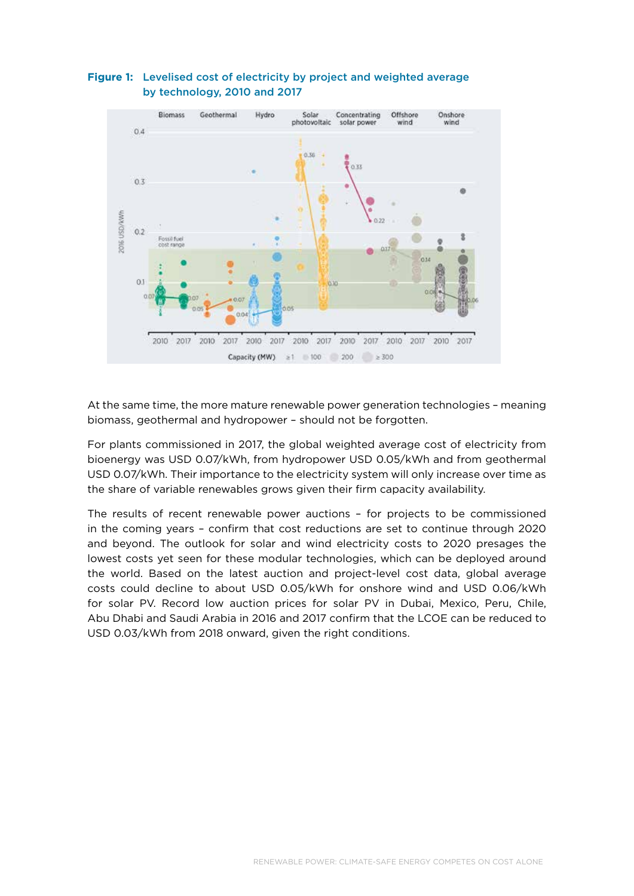

## **Figure 1:** Levelised cost of electricity by project and weighted average by technology, 2010 and 2017

At the same time, the more mature renewable power generation technologies – meaning biomass, geothermal and hydropower – should not be forgotten.

For plants commissioned in 2017, the global weighted average cost of electricity from bioenergy was USD 0.07/kWh, from hydropower USD 0.05/kWh and from geothermal USD 0.07/kWh. Their importance to the electricity system will only increase over time as the share of variable renewables grows given their firm capacity availability.

The results of recent renewable power auctions – for projects to be commissioned in the coming years – confirm that cost reductions are set to continue through 2020 and beyond. The outlook for solar and wind electricity costs to 2020 presages the lowest costs yet seen for these modular technologies, which can be deployed around the world. Based on the latest auction and project-level cost data, global average costs could decline to about USD 0.05/kWh for onshore wind and USD 0.06/kWh for solar PV. Record low auction prices for solar PV in Dubai, Mexico, Peru, Chile, Abu Dhabi and Saudi Arabia in 2016 and 2017 confirm that the LCOE can be reduced to USD 0.03/kWh from 2018 onward, given the right conditions.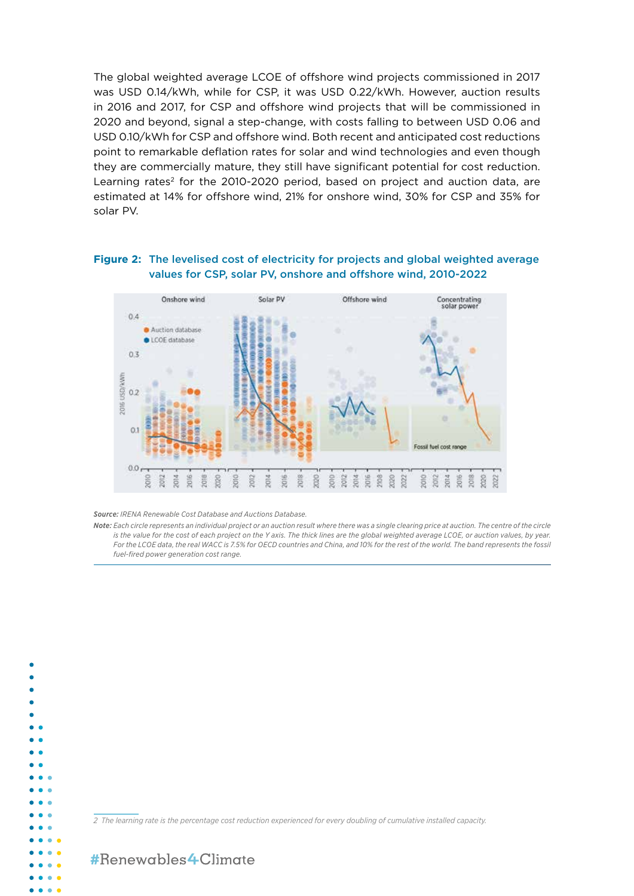The global weighted average LCOE of offshore wind projects commissioned in 2017 was USD 0.14/kWh, while for CSP, it was USD 0.22/kWh. However, auction results in 2016 and 2017, for CSP and offshore wind projects that will be commissioned in 2020 and beyond, signal a step-change, with costs falling to between USD 0.06 and USD 0.10/kWh for CSP and offshore wind. Both recent and anticipated cost reductions point to remarkable deflation rates for solar and wind technologies and even though they are commercially mature, they still have significant potential for cost reduction. Learning rates<sup>2</sup> for the 2010-2020 period, based on project and auction data, are estimated at 14% for offshore wind, 21% for onshore wind, 30% for CSP and 35% for solar PV.

### **Figure 2:** The levelised cost of electricity for projects and global weighted average values for CSP, solar PV, onshore and offshore wind, 2010-2022



*Source: IRENA Renewable Cost Database and Auctions Database.*

*Note: Each circle represents an individual project or an auction result where there was a single clearing price at auction. The centre of the circle is the value for the cost of each project on the Y axis. The thick lines are the global weighted average LCOE, or auction values, by year.*  For the LCOE data, the real WACC is 7.5% for OECD countries and China, and 10% for the rest of the world. The band represents the fossil *fuel-fired power generation cost range.*

*2 The learning rate is the percentage cost reduction experienced for every doubling of cumulative installed capacity.*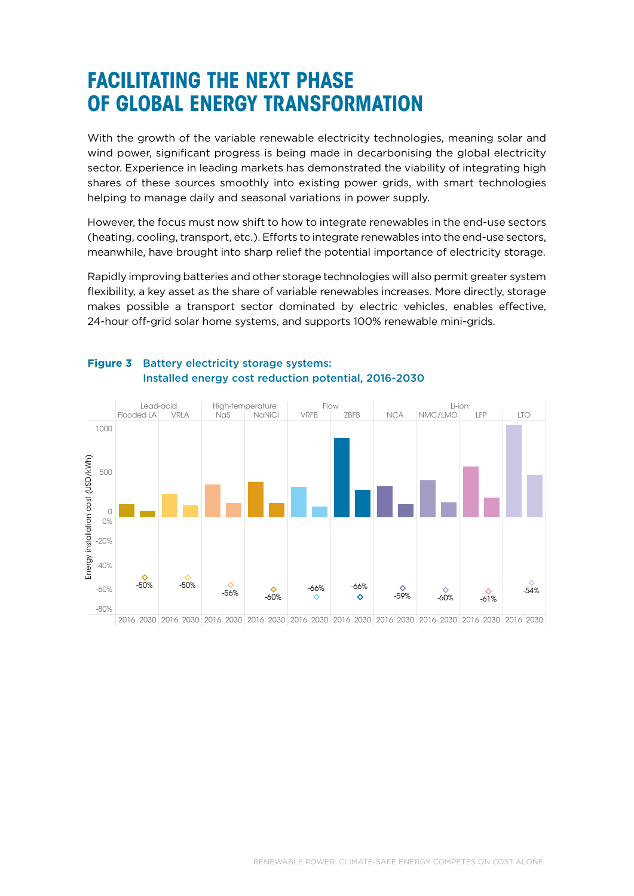# **FACILITATING THE NEXT PHASE OF GLOBAL ENERGY TRANSFORMATION**

With the growth of the variable renewable electricity technologies, meaning solar and wind power, significant progress is being made in decarbonising the global electricity sector. Experience in leading markets has demonstrated the viability of integrating high shares of these sources smoothly into existing power grids, with smart technologies helping to manage daily and seasonal variations in power supply.

However, the focus must now shift to how to integrate renewables in the end-use sectors (heating, cooling, transport, etc.). Efforts to integrate renewables into the end-use sectors, meanwhile, have brought into sharp relief the potential importance of electricity storage.

Rapidly improving batteries and other storage technologies will also permit greater system flexibility, a key asset as the share of variable renewables increases. More directly, storage makes possible a transport sector dominated by electric vehicles, enables effective, 24-hour off-grid solar home systems, and supports 100% renewable mini-grids.



## **Figure 3** Battery electricity storage systems: Installed energy cost reduction potential, 2016-2030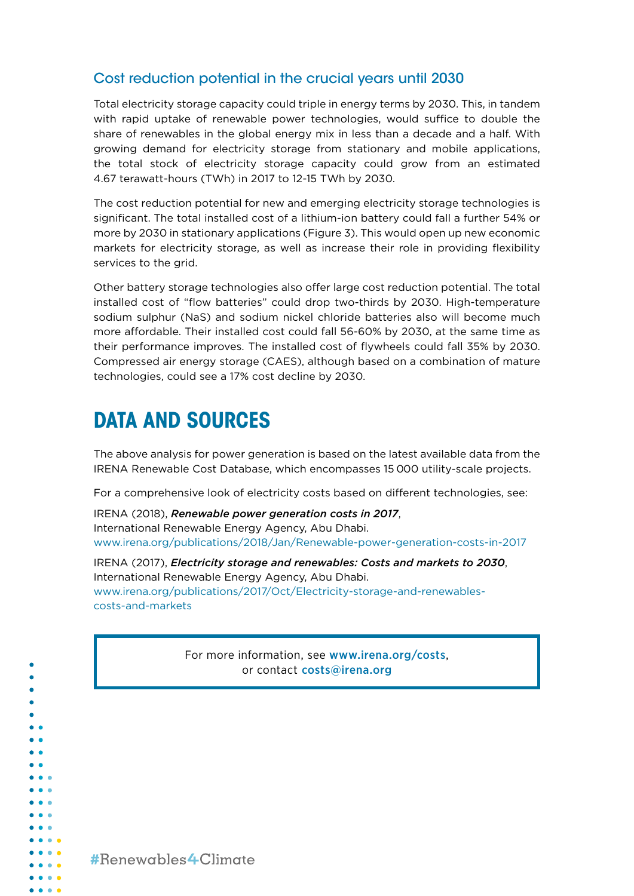## Cost reduction potential in the crucial years until 2030

Total electricity storage capacity could triple in energy terms by 2030. This, in tandem with rapid uptake of renewable power technologies, would suffice to double the share of renewables in the global energy mix in less than a decade and a half. With growing demand for electricity storage from stationary and mobile applications, the total stock of electricity storage capacity could grow from an estimated 4.67 terawatt-hours (TWh) in 2017 to 12-15 TWh by 2030.

The cost reduction potential for new and emerging electricity storage technologies is significant. The total installed cost of a lithium-ion battery could fall a further 54% or more by 2030 in stationary applications (Figure 3). This would open up new economic markets for electricity storage, as well as increase their role in providing flexibility services to the grid.

Other battery storage technologies also offer large cost reduction potential. The total installed cost of "flow batteries" could drop two-thirds by 2030. High-temperature sodium sulphur (NaS) and sodium nickel chloride batteries also will become much more affordable. Their installed cost could fall 56-60% by 2030, at the same time as their performance improves. The installed cost of flywheels could fall 35% by 2030. Compressed air energy storage (CAES), although based on a combination of mature technologies, could see a 17% cost decline by 2030.

# **DATA AND SOURCES**

The above analysis for power generation is based on the latest available data from the IRENA Renewable Cost Database, which encompasses 15 000 utility-scale projects.

For a comprehensive look of electricity costs based on different technologies, see:

IRENA (2018), *Renewable power generation costs in 2017*, International Renewable Energy Agency, Abu Dhabi. [www.irena.org/publications/2018/Jan/Renewable-power-generation-costs-in-2017](http://www.irena.org/publications/2018/Jan/Renewable-power-generation-costs-in-2017)

IRENA (2017), *Electricity storage and renewables: Costs and markets to 2030*, International Renewable Energy Agency, Abu Dhabi. [www.irena.org/publications/2017/Oct/Electricity-storage-and-renewables](http://)[costs-and-markets](http://)

> For more information, see [www.irena.org/costs](http://www.irena.org/costs), or contact [costs@irena.org](mailto:costs%40irena.org?subject=)

#Benewables4Climate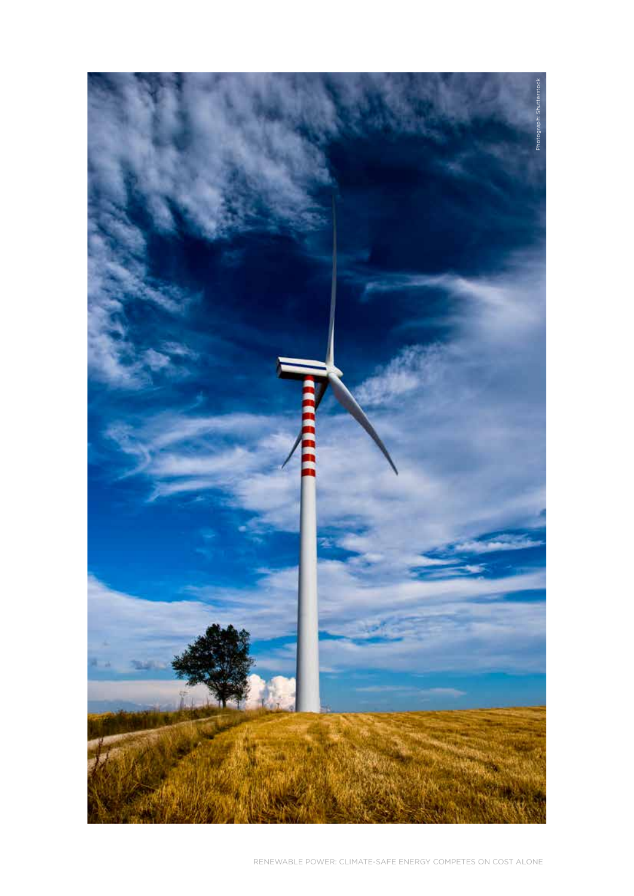